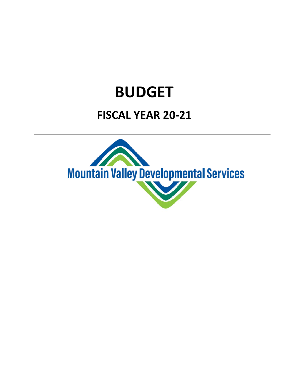## **BUDGET**

## **FISCAL YEAR 20‐21**